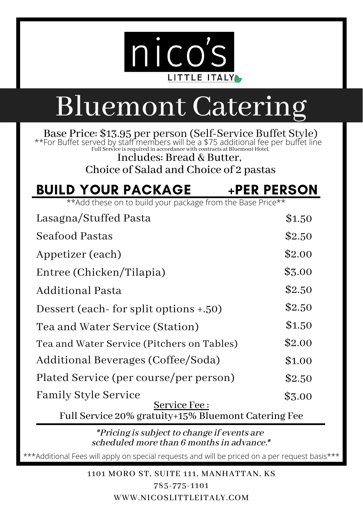

## Bluemont Catering

Base Price: \$13.95 per person (Self-Service Buffet Style) Full Service isrequired in accordance with contracts at Bluemont Hotel. \*\*For Buffet served by staff members will be a \$75 additional fee per buffet line

Includes: Bread & Butter, Choice of Salad and Choice of 2 pastas

### BUILD YOUR PACKAGE +PER PERSON

\*\*Add these on to build your package from the Base Price\*\*

| Lasagna/Stuffed Pasta                                               | \$1.50 |  |
|---------------------------------------------------------------------|--------|--|
| Seafood Pastas                                                      | \$2.50 |  |
| Appetizer (each)                                                    | \$2.00 |  |
| Entree (Chicken/Tilapia)                                            | \$3.00 |  |
| Additional Pasta                                                    | \$2.50 |  |
| Dessert (each-for split options +.50)                               | \$2.50 |  |
| Tea and Water Service (Station)                                     | \$1.50 |  |
| Tea and Water Service (Pitchers on Tables)                          | \$2.00 |  |
| Additional Beverages (Coffee/Soda)                                  | \$1.00 |  |
| Plated Service (per course/per person)                              | \$2.50 |  |
| <b>Family Style Service</b>                                         | \$3.00 |  |
| Service Fee:<br>Full Service 20% gratuity+15% Bluemont Catering Fee |        |  |
| .                                                                   |        |  |

\*Pricing issubject to change if events are scheduled more than 6 months in advance.\*

\*\*\*Additional Fees will apply on special requests and will be priced on a per request basis\*\*\*

1101 MORO ST, SUITE 111, MANHATTAN, KS

785-775-1101 WWW.NICOSLITTLEITALY.COM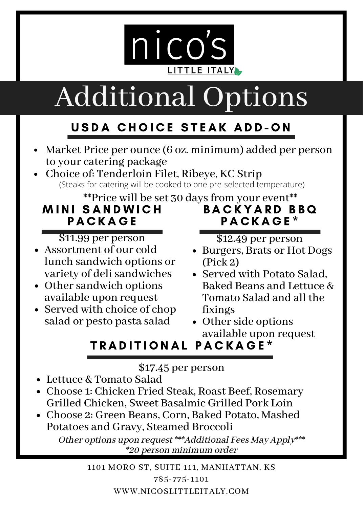

# Additional Options

### USDA CHOICE STEAK ADD-ON

- Market Price per ounce (6 oz. minimum) added per person to your catering package
- Choice of: Tenderloin Filet, Ribeye, KC Strip (Steaks for catering will be cooked to one pre-selected temperature)

 \*\*Price will be set 30 days from your event\*\* **MINI SANDWICH PACKAGE** B A C K Y A R D B B Q P A C K A G E \*

\$11.99 per person

- Assortment of our cold lunch sandwich options or variety of delisandwiches
- Other sandwich options available upon request
- Served with choice of chop salad or pesto pasta salad

\$12.49 per person

- Burgers, Brats or Hot Dogs (Pick 2)
- Served with Potato Salad. Baked Beans and Lettuce & Tomato Salad and all the fixings
- Other side options available upon request

### TRADITIONAL PACKAGE\*

\$17.45 per person

- Lettuce & Tomato Salad
- Choose 1: Chicken Fried Steak, Roast Beef, Rosemary Grilled Chicken, Sweet Basalmic Grilled Pork Loin
- Choose 2: Green Beans, Corn, Baked Potato, Mashed Potatoes and Gravy, Steamed Broccoli

Other options upon request \*\*\*Additional Fees May Apply\*\*\* \*20 person minimum order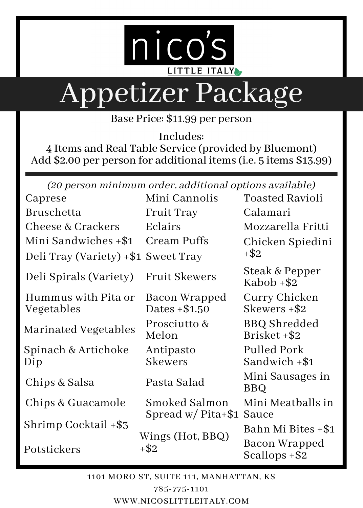

# Appetizer Package

Base Price: \$11.99 per person

Includes:

4 Items and Real Table Service (provided by Bluemont) Add \$2.00 per person for additional items (i.e. 5 items \$13.99)

(20 person minimum order, additional options available)

| Caprese                             | Mini Cannolis                         | Toasted Ravioli                   |  |
|-------------------------------------|---------------------------------------|-----------------------------------|--|
| Bruschetta                          | Fruit Tray                            | Calamari                          |  |
| Cheese & Crackers                   | Eclairs                               | Mozzarella Fritti                 |  |
| Mini Sandwiches +\$1                | Cream Puffs                           | Chicken Spiedini<br>$+$ \$2       |  |
| Deli Tray (Variety) +\$1 Sweet Tray |                                       |                                   |  |
| Deli Spirals (Variety)              | <b>Fruit Skewers</b>                  | Steak & Pepper<br>Kabob +\$2      |  |
| Hummus with Pita or<br>Vegetables   | Bacon Wrapped<br>Dates $+ $1.50$      | Curry Chicken<br>Skewers +\$2     |  |
| Marinated Vegetables                | Prosciutto &<br>Melon                 | BBQ Shredded<br>Brisket +\$2      |  |
| Spinach & Artichoke<br>Dip          | Antipasto<br><b>Skewers</b>           | Pulled Pork<br>Sandwich +\$1      |  |
| Chips & Salsa                       | Pasta Salad                           | Mini Sausages in<br>BBO           |  |
| Chips & Guacamole                   | Smoked Salmon<br>Spread $w/$ Pita+\$1 | Mini Meatballs in<br>Sauce        |  |
| Shrimp Cocktail +\$3                |                                       | Bahn Mi Bites +\$1                |  |
| Potstickers                         | Wings (Hot, BBQ)<br>+\$2              | Bacon Wrapped<br>Scallops $+$ \$2 |  |
|                                     |                                       |                                   |  |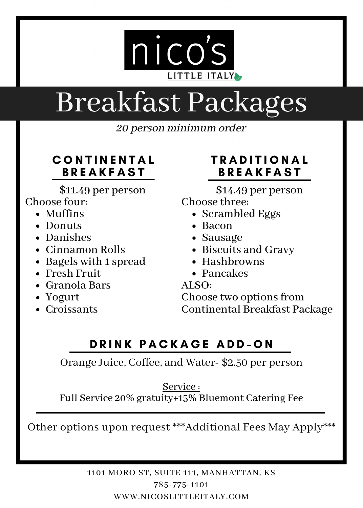

## Breakfast Packages

20 person minimum order

#### **CONTINENTAL BREAKFAST**

\$11.49 per person

#### Choose four:

- Muffins
- Donuts
- Danishes
- Cinnamon Rolls
- Bagels with 1 spread
- Fresh Fruit
- Granola Bars
- Yogurt
- Croissants

#### **TRADITIONAL BREAKFAST**

\$14.49 per person Choose three:

- Scrambled Eggs
- Bacon
- Sausage
- Biscuits and Gravy
- $\bullet$  Hashbrowns
- Pancakes<br>ALSO:

Choose two options from Continental Breakfast Package

#### DRINK PACKAGE ADD-ON

Orange Juice, Coffee, and Water- \$2.50 per person

Service :

Full Service 20% gratuity+15% Bluemont Catering Fee

Other options upon request \*\*\*Additional Fees May Apply\*\*\*